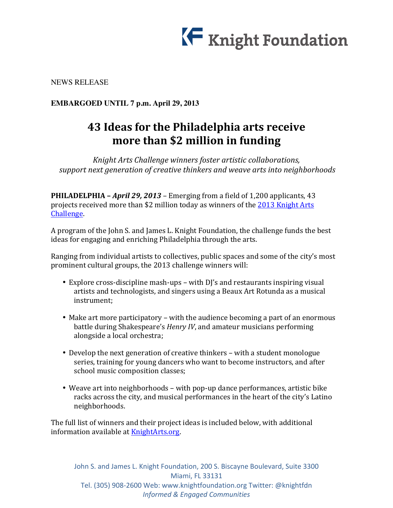

NEWS RELEASE

**EMBARGOED UNTIL 7 p.m. April 29, 2013**

# **43 Ideas for the Philadelphia arts receive more than \$2 million in funding**

*Knight Arts Challenge winners foster artistic collaborations, support next generation of creative thinkers and weave arts into neighborhoods* 

**PHILADELPHIA** – *April* 29, 2013 – Emerging from a field of 1,200 applicants, 43 projects received more than \$2 million today as winners of the 2013 Knight Arts Challenge.

A program of the John S. and James L. Knight Foundation, the challenge funds the best ideas for engaging and enriching Philadelphia through the arts.

Ranging from individual artists to collectives, public spaces and some of the city's most prominent cultural groups, the 2013 challenge winners will:

- Explore cross-discipline mash-ups with DJ's and restaurants inspiring visual artists and technologists, and singers using a Beaux Art Rotunda as a musical instrument;
- Make art more participatory with the audience becoming a part of an enormous battle during Shakespeare's *Henry IV*, and amateur musicians performing alongside a local orchestra;
- Develop the next generation of creative thinkers with a student monologue series, training for young dancers who want to become instructors, and after school music composition classes;
- Weave art into neighborhoods with pop-up dance performances, artistic bike racks across the city, and musical performances in the heart of the city's Latino neighborhoods.

The full list of winners and their project ideas is included below, with additional information available at KnightArts.org.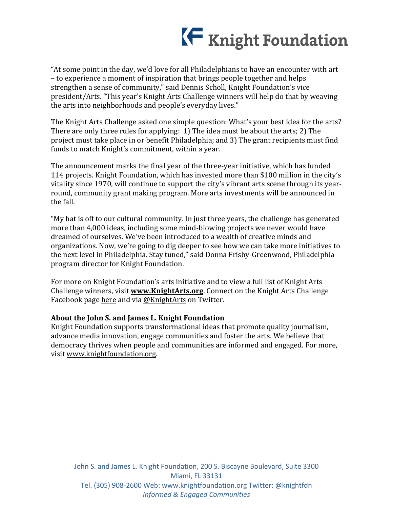

"At some point in the day, we'd love for all Philadelphians to have an encounter with art – to experience a moment of inspiration that brings people together and helps strengthen a sense of community," said Dennis Scholl, Knight Foundation's vice president/Arts. "This year's Knight Arts Challenge winners will help do that by weaving the arts into neighborhoods and people's everyday lives."

The Knight Arts Challenge asked one simple question: What's your best idea for the arts? There are only three rules for applying:  $1)$  The idea must be about the arts; 2) The project must take place in or benefit Philadelphia; and 3) The grant recipients must find funds to match Knight's commitment, within a year.

The announcement marks the final year of the three-year initiative, which has funded 114 projects. Knight Foundation, which has invested more than \$100 million in the city's vitality since 1970, will continue to support the city's vibrant arts scene through its yearround, community grant making program. More arts investments will be announced in the fall.

"My hat is off to our cultural community. In just three years, the challenge has generated more than 4,000 ideas, including some mind-blowing projects we never would have dreamed of ourselves. We've been introduced to a wealth of creative minds and organizations. Now, we're going to dig deeper to see how we can take more initiatives to the next level in Philadelphia. Stay tuned," said Donna Frisby-Greenwood, Philadelphia program director for Knight Foundation.

For more on Knight Foundation's arts initiative and to view a full list of Knight Arts Challenge winners, visit **www.KnightArts.org**. Connect on the Knight Arts Challenge Facebook page here and via @KnightArts on Twitter.

#### About the John S. and James L. Knight Foundation

Knight Foundation supports transformational ideas that promote quality iournalism, advance media innovation, engage communities and foster the arts. We believe that democracy thrives when people and communities are informed and engaged. For more, visit www.knightfoundation.org.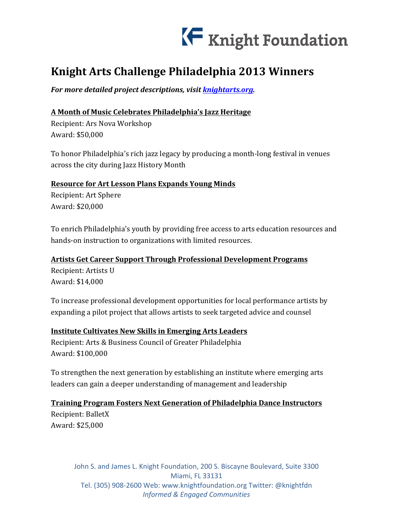

# **Knight Arts Challenge Philadelphia 2013 Winners**

For more detailed project descriptions, visit knightarts.org.

# **A Month of Music Celebrates Philadelphia's Jazz Heritage**

Recipient: Ars Nova Workshop Award: \$50,000

To honor Philadelphia's rich jazz legacy by producing a month-long festival in venues across the city during Jazz History Month

# **Resource for Art Lesson Plans Expands Young Minds**

Recipient: Art Sphere Award: \$20,000

To enrich Philadelphia's youth by providing free access to arts education resources and hands-on instruction to organizations with limited resources.

# **Artists Get Career Support Through Professional Development Programs**

Recipient: Artists U Award: \$14,000

To increase professional development opportunities for local performance artists by expanding a pilot project that allows artists to seek targeted advice and counsel

# **Institute Cultivates New Skills in Emerging Arts Leaders**

Recipient: Arts & Business Council of Greater Philadelphia Award: \$100,000

To strengthen the next generation by establishing an institute where emerging arts leaders can gain a deeper understanding of management and leadership

## **Training Program Fosters Next Generation of Philadelphia Dance Instructors**

Recipient: BalletX Award: \$25,000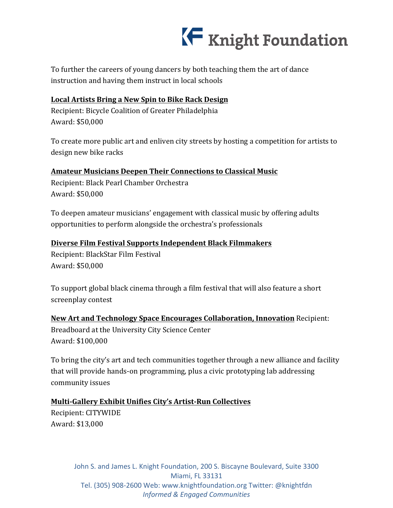# K Knight Foundation

To further the careers of young dancers by both teaching them the art of dance instruction and having them instruct in local schools

# Local Artists Bring a New Spin to Bike Rack Design

Recipient: Bicycle Coalition of Greater Philadelphia Award: \$50,000

To create more public art and enliven city streets by hosting a competition for artists to design new bike racks

# **Amateur Musicians Deepen Their Connections to Classical Music**

Recipient: Black Pearl Chamber Orchestra Award: \$50,000

To deepen amateur musicians' engagement with classical music by offering adults opportunities to perform alongside the orchestra's professionals

# **Diverse Film Festival Supports Independent Black Filmmakers**

Recipient: BlackStar Film Festival Award: \$50,000

To support global black cinema through a film festival that will also feature a short screenplay contest

**New Art and Technology Space Encourages Collaboration, Innovation** Recipient: Breadboard at the University City Science Center Award: \$100,000

To bring the city's art and tech communities together through a new alliance and facility that will provide hands-on programming, plus a civic prototyping lab addressing community issues

# **Multi-Gallery Exhibit Unifies City's Artist-Run Collectives**

Recipient: CITYWIDE Award: \$13,000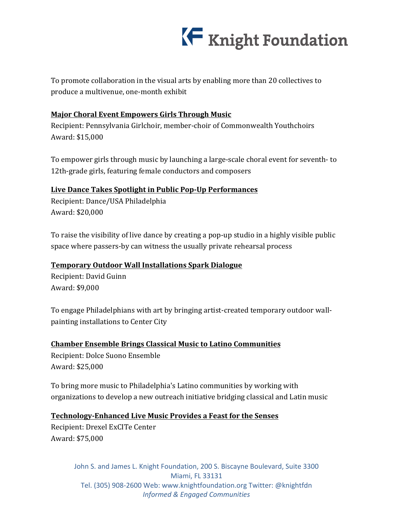

To promote collaboration in the visual arts by enabling more than 20 collectives to produce a multivenue, one-month exhibit

## **Major Choral Event Empowers Girls Through Music**

Recipient: Pennsylvania Girlchoir, member-choir of Commonwealth Youthchoirs Award: \$15,000

To empower girls through music by launching a large-scale choral event for seventh- to 12th-grade girls, featuring female conductors and composers

# **Live Dance Takes Spotlight in Public Pop-Up Performances**

Recipient: Dance/USA Philadelphia Award: \$20,000

To raise the visibility of live dance by creating a pop-up studio in a highly visible public space where passers-by can witness the usually private rehearsal process

## **Temporary Outdoor Wall Installations Spark Dialogue**

Recipient: David Guinn Award: \$9,000

To engage Philadelphians with art by bringing artist-created temporary outdoor wallpainting installations to Center City

**Chamber Ensemble Brings Classical Music to Latino Communities** Recipient: Dolce Suono Ensemble Award: \$25,000

To bring more music to Philadelphia's Latino communities by working with organizations to develop a new outreach initiative bridging classical and Latin music

**Technology-Enhanced Live Music Provides a Feast for the Senses** Recipient: Drexel ExCITe Center Award: \$75,000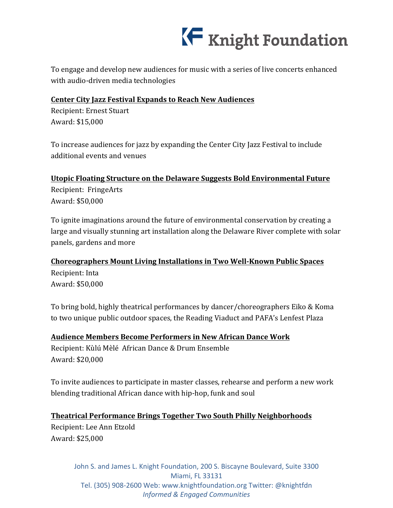

To engage and develop new audiences for music with a series of live concerts enhanced with audio-driven media technologies

## **Center City Jazz Festival Expands to Reach New Audiences**

Recipient: Ernest Stuart Award: \$15,000

To increase audiences for jazz by expanding the Center City Jazz Festival to include additional events and venues

# Utopic Floating Structure on the Delaware Suggests Bold Environmental Future

Recipient: FringeArts Award: \$50,000

To ignite imaginations around the future of environmental conservation by creating a large and visually stunning art installation along the Delaware River complete with solar panels, gardens and more

## **Choreographers Mount Living Installations in Two Well-Known Public Spaces**

Recipient: Inta Award: \$50,000

To bring bold, highly theatrical performances by dancer/choreographers Eiko & Koma to two unique public outdoor spaces, the Reading Viaduct and PAFA's Lenfest Plaza

**Audience Members Become Performers in New African Dance Work** Recipient: Kùlú Mèlé African Dance & Drum Ensemble Award: \$20,000

To invite audiences to participate in master classes, rehearse and perform a new work blending traditional African dance with hip-hop, funk and soul

**Theatrical Performance Brings Together Two South Philly Neighborhoods** Recipient: Lee Ann Etzold Award: \$25,000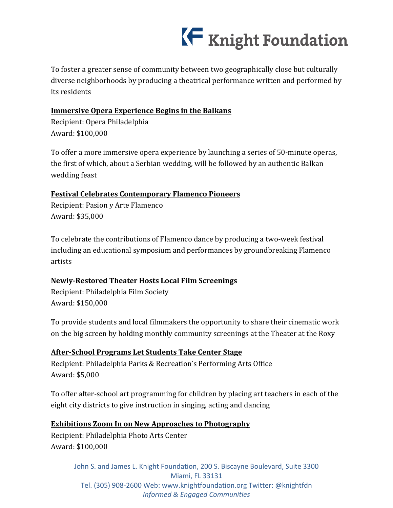

To foster a greater sense of community between two geographically close but culturally diverse neighborhoods by producing a theatrical performance written and performed by its residents

## **Immersive Opera Experience Begins in the Balkans**

Recipient: Opera Philadelphia Award: \$100,000

To offer a more immersive opera experience by launching a series of 50-minute operas, the first of which, about a Serbian wedding, will be followed by an authentic Balkan wedding feast

# **Festival Celebrates Contemporary Flamenco Pioneers**

Recipient: Pasion y Arte Flamenco Award: \$35,000

To celebrate the contributions of Flamenco dance by producing a two-week festival including an educational symposium and performances by groundbreaking Flamenco artists

# **Newly-Restored Theater Hosts Local Film Screenings**

Recipient: Philadelphia Film Society Award: \$150,000

To provide students and local filmmakers the opportunity to share their cinematic work on the big screen by holding monthly community screenings at the Theater at the Roxy

# **After-School Programs Let Students Take Center Stage**

Recipient: Philadelphia Parks & Recreation's Performing Arts Office Award: \$5,000

To offer after-school art programming for children by placing art teachers in each of the eight city districts to give instruction in singing, acting and dancing

# **Exhibitions Zoom In on New Approaches to Photography**

Recipient: Philadelphia Photo Arts Center Award: \$100,000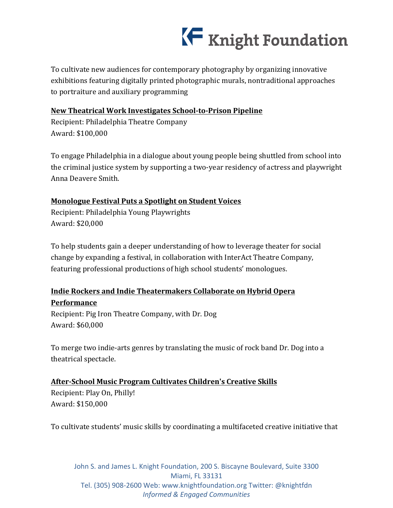

To cultivate new audiences for contemporary photography by organizing innovative exhibitions featuring digitally printed photographic murals, nontraditional approaches to portraiture and auxiliary programming

#### **New Theatrical Work Investigates School-to-Prison Pipeline**

Recipient: Philadelphia Theatre Company Award: \$100,000

To engage Philadelphia in a dialogue about young people being shuttled from school into the criminal justice system by supporting a two-year residency of actress and playwright Anna Deavere Smith.

## **Monologue Festival Puts a Spotlight on Student Voices**

Recipient: Philadelphia Young Playwrights Award: \$20,000

To help students gain a deeper understanding of how to leverage theater for social change by expanding a festival, in collaboration with InterAct Theatre Company, featuring professional productions of high school students' monologues.

# **Indie Rockers and Indie Theatermakers Collaborate on Hybrid Opera Performance**

Recipient: Pig Iron Theatre Company, with Dr. Dog Award: \$60,000

To merge two indie-arts genres by translating the music of rock band Dr. Dog into a theatrical spectacle.

## **After-School Music Program Cultivates Children's Creative Skills**

Recipient: Play On, Philly! Award: \$150,000

To cultivate students' music skills by coordinating a multifaceted creative initiative that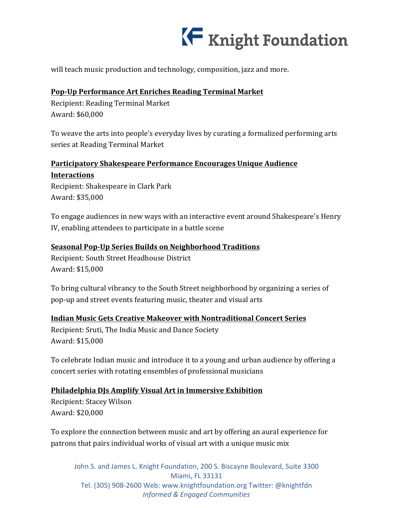

will teach music production and technology, composition, jazz and more.

# Pop-Up Performance Art Enriches Reading Terminal Market

Recipient: Reading Terminal Market Award: \$60,000

To weave the arts into people's everyday lives by curating a formalized performing arts series at Reading Terminal Market

# **Participatory Shakespeare Performance Encourages Unique Audience**

**Interactions** Recipient: Shakespeare in Clark Park Award: \$35,000

To engage audiences in new ways with an interactive event around Shakespeare's Henry IV, enabling attendees to participate in a battle scene

## **<u>Seasonal Pop-Up Series Builds on Neighborhood Traditions</u>**

Recipient: South Street Headhouse District Award: \$15,000

To bring cultural vibrancy to the South Street neighborhood by organizing a series of pop-up and street events featuring music, theater and visual arts

## **Indian Music Gets Creative Makeover with Nontraditional Concert Series**

Recipient: Sruti, The India Music and Dance Society Award: \$15,000

To celebrate Indian music and introduce it to a young and urban audience by offering a concert series with rotating ensembles of professional musicians

## **Philadelphia DJs Amplify Visual Art in Immersive Exhibition**

Recipient: Stacey Wilson Award: \$20,000

To explore the connection between music and art by offering an aural experience for patrons that pairs individual works of visual art with a unique music mix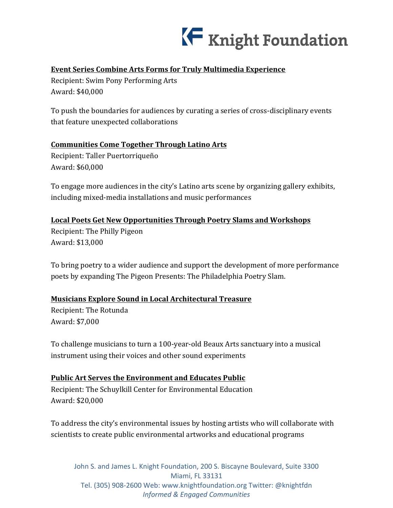

# **Event Series Combine Arts Forms for Truly Multimedia Experience**

Recipient: Swim Pony Performing Arts Award: \$40,000

To push the boundaries for audiences by curating a series of cross-disciplinary events that feature unexpected collaborations

# **Communities Come Together Through Latino Arts**

Recipient: Taller Puertorriqueño Award: \$60,000

To engage more audiences in the city's Latino arts scene by organizing gallery exhibits, including mixed-media installations and music performances

## **Local Poets Get New Opportunities Through Poetry Slams and Workshops**

Recipient: The Philly Pigeon Award: \$13,000

To bring poetry to a wider audience and support the development of more performance poets by expanding The Pigeon Presents: The Philadelphia Poetry Slam.

## **Musicians Explore Sound in Local Architectural Treasure**

Recipient: The Rotunda Award: \$7,000

To challenge musicians to turn a 100-year-old Beaux Arts sanctuary into a musical instrument using their voices and other sound experiments

## **Public Art Serves the Environment and Educates Public**

Recipient: The Schuylkill Center for Environmental Education Award: \$20,000

To address the city's environmental issues by hosting artists who will collaborate with scientists to create public environmental artworks and educational programs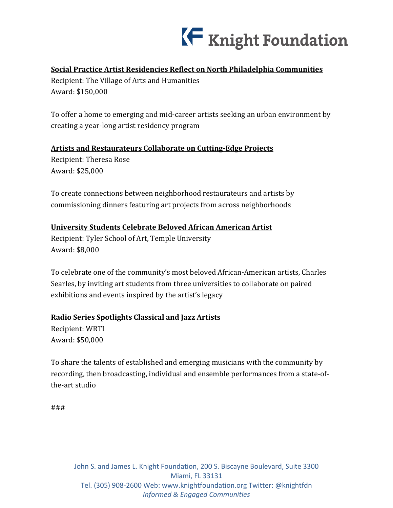

# **Social Practice Artist Residencies Reflect on North Philadelphia Communities**

Recipient: The Village of Arts and Humanities Award: \$150,000

To offer a home to emerging and mid-career artists seeking an urban environment by creating a year-long artist residency program

## **Artists and Restaurateurs Collaborate on Cutting-Edge Projects**

Recipient: Theresa Rose Award: \$25,000

To create connections between neighborhood restaurateurs and artists by commissioning dinners featuring art projects from across neighborhoods

# **University Students Celebrate Beloved African American Artist**

Recipient: Tyler School of Art, Temple University Award: \$8,000

To celebrate one of the community's most beloved African-American artists, Charles Searles, by inviting art students from three universities to collaborate on paired exhibitions and events inspired by the artist's legacy

## **Radio Series Spotlights Classical and Jazz Artists**

Recipient: WRTI Award: \$50,000

To share the talents of established and emerging musicians with the community by recording, then broadcasting, individual and ensemble performances from a state-ofthe-art studio

###